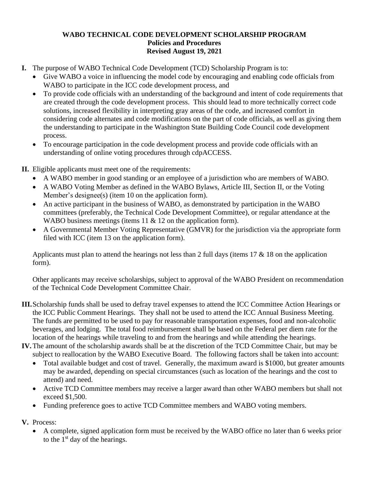# **WABO TECHNICAL CODE DEVELOPMENT SCHOLARSHIP PROGRAM Policies and Procedures Revised August 19, 2021**

- **I.** The purpose of WABO Technical Code Development (TCD) Scholarship Program is to:
	- Give WABO a voice in influencing the model code by encouraging and enabling code officials from WABO to participate in the ICC code development process, and
	- To provide code officials with an understanding of the background and intent of code requirements that are created through the code development process. This should lead to more technically correct code solutions, increased flexibility in interpreting gray areas of the code, and increased comfort in considering code alternates and code modifications on the part of code officials, as well as giving them the understanding to participate in the Washington State Building Code Council code development process.
	- To encourage participation in the code development process and provide code officials with an understanding of online voting procedures through cdpACCESS.
- **II.** Eligible applicants must meet one of the requirements:
	- A WABO member in good standing or an employee of a jurisdiction who are members of WABO.
	- A WABO Voting Member as defined in the WABO Bylaws, Article III, Section II, or the Voting Member's designee(s) (item 10 on the application form).
	- An active participant in the business of WABO, as demonstrated by participation in the WABO committees (preferably, the Technical Code Development Committee), or regular attendance at the WABO business meetings (items 11 & 12 on the application form).
	- A Governmental Member Voting Representative (GMVR) for the jurisdiction via the appropriate form filed with ICC (item 13 on the application form).

Applicants must plan to attend the hearings not less than 2 full days (items 17 & 18 on the application form).

Other applicants may receive scholarships, subject to approval of the WABO President on recommendation of the Technical Code Development Committee Chair.

- **III.**Scholarship funds shall be used to defray travel expenses to attend the ICC Committee Action Hearings or the ICC Public Comment Hearings. They shall not be used to attend the ICC Annual Business Meeting. The funds are permitted to be used to pay for reasonable transportation expenses, food and non-alcoholic beverages, and lodging. The total food reimbursement shall be based on the Federal per diem rate for the location of the hearings while traveling to and from the hearings and while attending the hearings.
- **IV.**The amount of the scholarship awards shall be at the discretion of the TCD Committee Chair, but may be subject to reallocation by the WABO Executive Board. The following factors shall be taken into account:
	- Total available budget and cost of travel. Generally, the maximum award is \$1000, but greater amounts may be awarded, depending on special circumstances (such as location of the hearings and the cost to attend) and need.
	- Active TCD Committee members may receive a larger award than other WABO members but shall not exceed \$1,500.
	- Funding preference goes to active TCD Committee members and WABO voting members.

**V.** Process:

• A complete, signed application form must be received by the WABO office no later than 6 weeks prior to the  $1<sup>st</sup>$  day of the hearings.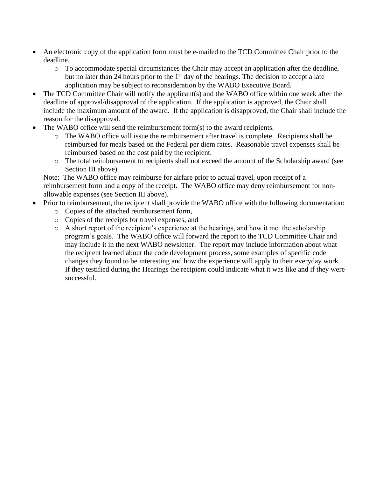- An electronic copy of the application form must be e-mailed to the TCD Committee Chair prior to the deadline.
	- o To accommodate special circumstances the Chair may accept an application after the deadline, but no later than 24 hours prior to the  $1<sup>st</sup>$  day of the hearings. The decision to accept a late application may be subject to reconsideration by the WABO Executive Board.
- The TCD Committee Chair will notify the applicant(s) and the WABO office within one week after the deadline of approval/disapproval of the application. If the application is approved, the Chair shall include the maximum amount of the award. If the application is disapproved, the Chair shall include the reason for the disapproval.
- The WABO office will send the reimbursement form(s) to the award recipients.
	- o The WABO office will issue the reimbursement after travel is complete. Recipients shall be reimbursed for meals based on the Federal per diem rates. Reasonable travel expenses shall be reimbursed based on the cost paid by the recipient.
	- o The total reimbursement to recipients shall not exceed the amount of the Scholarship award (see Section III above).

Note: The WABO office may reimburse for airfare prior to actual travel, upon receipt of a reimbursement form and a copy of the receipt. The WABO office may deny reimbursement for nonallowable expenses (see Section III above).

- Prior to reimbursement, the recipient shall provide the WABO office with the following documentation:
	- o Copies of the attached reimbursement form,
	- o Copies of the receipts for travel expenses, and
	- o A short report of the recipient's experience at the hearings, and how it met the scholarship program's goals. The WABO office will forward the report to the TCD Committee Chair and may include it in the next WABO newsletter. The report may include information about what the recipient learned about the code development process, some examples of specific code changes they found to be interesting and how the experience will apply to their everyday work. If they testified during the Hearings the recipient could indicate what it was like and if they were successful.